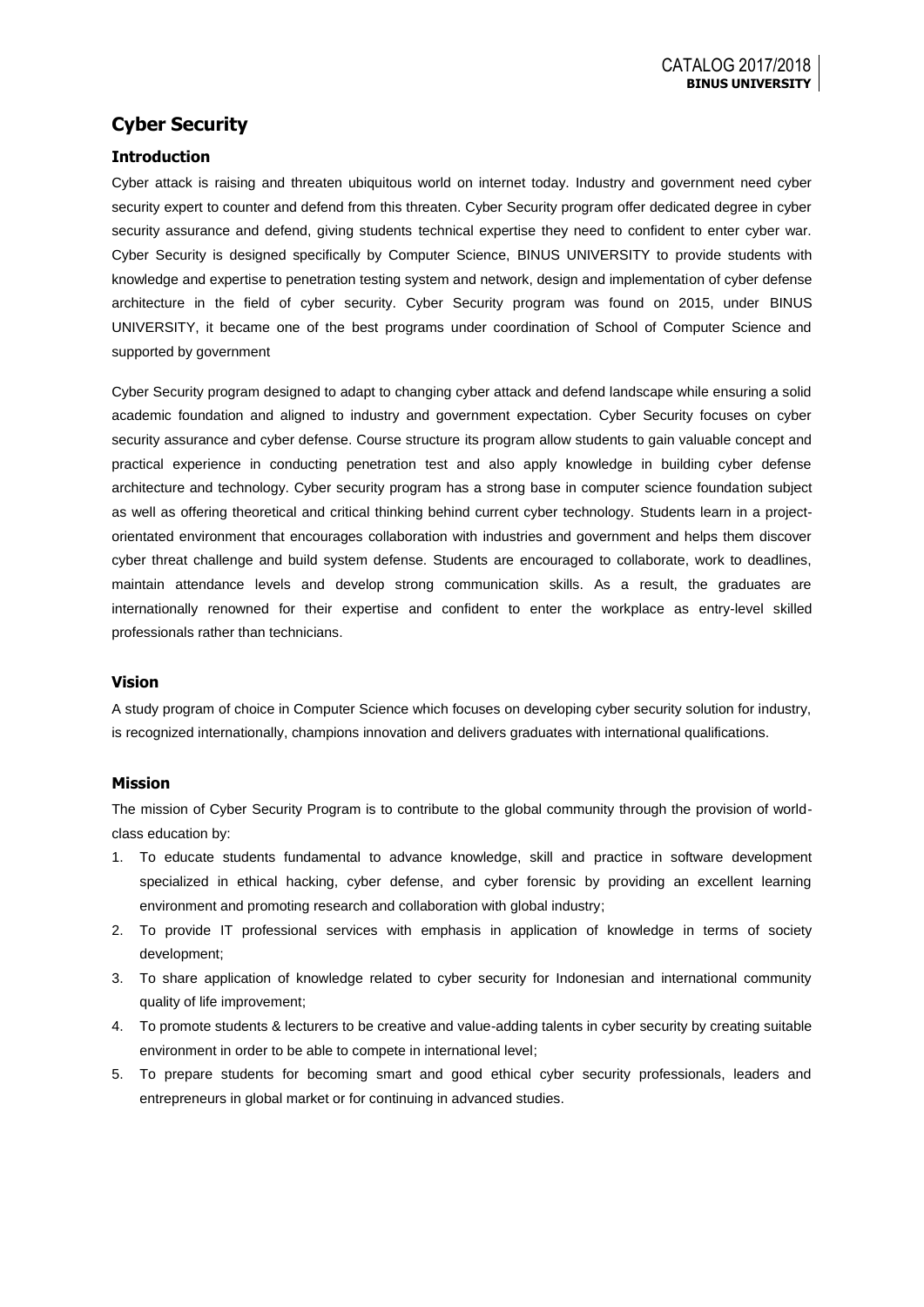# **Cyber Security**

## **Introduction**

Cyber attack is raising and threaten ubiquitous world on internet today. Industry and government need cyber security expert to counter and defend from this threaten. Cyber Security program offer dedicated degree in cyber security assurance and defend, giving students technical expertise they need to confident to enter cyber war. Cyber Security is designed specifically by Computer Science, BINUS UNIVERSITY to provide students with knowledge and expertise to penetration testing system and network, design and implementation of cyber defense architecture in the field of cyber security. Cyber Security program was found on 2015, under BINUS UNIVERSITY, it became one of the best programs under coordination of School of Computer Science and supported by government

Cyber Security program designed to adapt to changing cyber attack and defend landscape while ensuring a solid academic foundation and aligned to industry and government expectation. Cyber Security focuses on cyber security assurance and cyber defense. Course structure its program allow students to gain valuable concept and practical experience in conducting penetration test and also apply knowledge in building cyber defense architecture and technology. Cyber security program has a strong base in computer science foundation subject as well as offering theoretical and critical thinking behind current cyber technology. Students learn in a projectorientated environment that encourages collaboration with industries and government and helps them discover cyber threat challenge and build system defense. Students are encouraged to collaborate, work to deadlines, maintain attendance levels and develop strong communication skills. As a result, the graduates are internationally renowned for their expertise and confident to enter the workplace as entry-level skilled professionals rather than technicians.

### **Vision**

A study program of choice in Computer Science which focuses on developing cyber security solution for industry, is recognized internationally, champions innovation and delivers graduates with international qualifications.

### **Mission**

The mission of Cyber Security Program is to contribute to the global community through the provision of worldclass education by:

- 1. To educate students fundamental to advance knowledge, skill and practice in software development specialized in ethical hacking, cyber defense, and cyber forensic by providing an excellent learning environment and promoting research and collaboration with global industry;
- 2. To provide IT professional services with emphasis in application of knowledge in terms of society development;
- 3. To share application of knowledge related to cyber security for Indonesian and international community quality of life improvement;
- 4. To promote students & lecturers to be creative and value-adding talents in cyber security by creating suitable environment in order to be able to compete in international level;
- 5. To prepare students for becoming smart and good ethical cyber security professionals, leaders and entrepreneurs in global market or for continuing in advanced studies.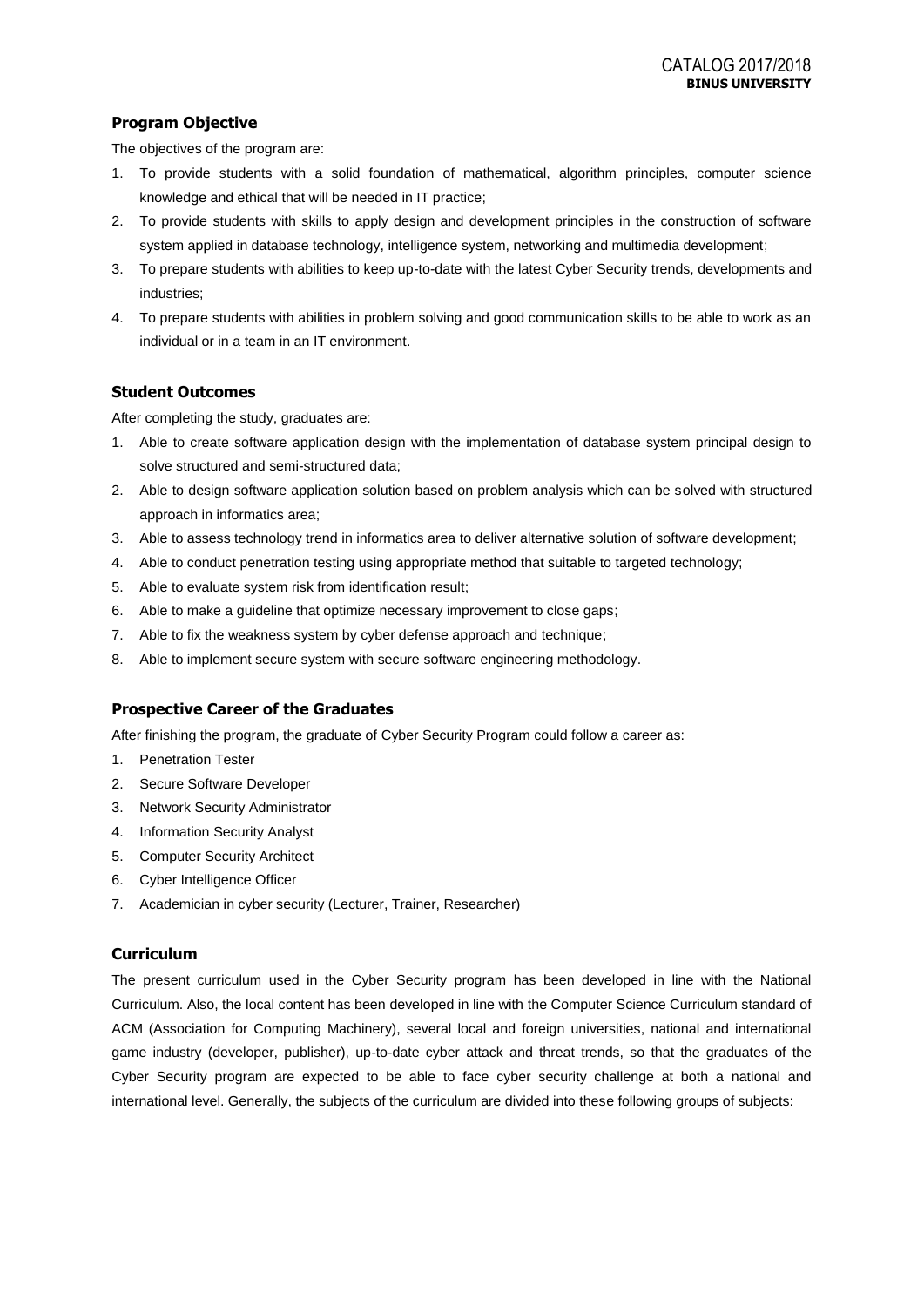## **Program Objective**

The objectives of the program are:

- 1. To provide students with a solid foundation of mathematical, algorithm principles, computer science knowledge and ethical that will be needed in IT practice;
- 2. To provide students with skills to apply design and development principles in the construction of software system applied in database technology, intelligence system, networking and multimedia development;
- 3. To prepare students with abilities to keep up-to-date with the latest Cyber Security trends, developments and industries;
- 4. To prepare students with abilities in problem solving and good communication skills to be able to work as an individual or in a team in an IT environment.

## **Student Outcomes**

After completing the study, graduates are:

- 1. Able to create software application design with the implementation of database system principal design to solve structured and semi-structured data;
- 2. Able to design software application solution based on problem analysis which can be solved with structured approach in informatics area;
- 3. Able to assess technology trend in informatics area to deliver alternative solution of software development;
- 4. Able to conduct penetration testing using appropriate method that suitable to targeted technology;
- 5. Able to evaluate system risk from identification result;
- 6. Able to make a guideline that optimize necessary improvement to close gaps;
- 7. Able to fix the weakness system by cyber defense approach and technique;
- 8. Able to implement secure system with secure software engineering methodology.

### **Prospective Career of the Graduates**

After finishing the program, the graduate of Cyber Security Program could follow a career as:

- 1. Penetration Tester
- 2. Secure Software Developer
- 3. Network Security Administrator
- 4. Information Security Analyst
- 5. Computer Security Architect
- 6. Cyber Intelligence Officer
- 7. Academician in cyber security (Lecturer, Trainer, Researcher)

### **Curriculum**

The present curriculum used in the Cyber Security program has been developed in line with the National Curriculum. Also, the local content has been developed in line with the Computer Science Curriculum standard of ACM (Association for Computing Machinery), several local and foreign universities, national and international game industry (developer, publisher), up-to-date cyber attack and threat trends, so that the graduates of the Cyber Security program are expected to be able to face cyber security challenge at both a national and international level. Generally, the subjects of the curriculum are divided into these following groups of subjects: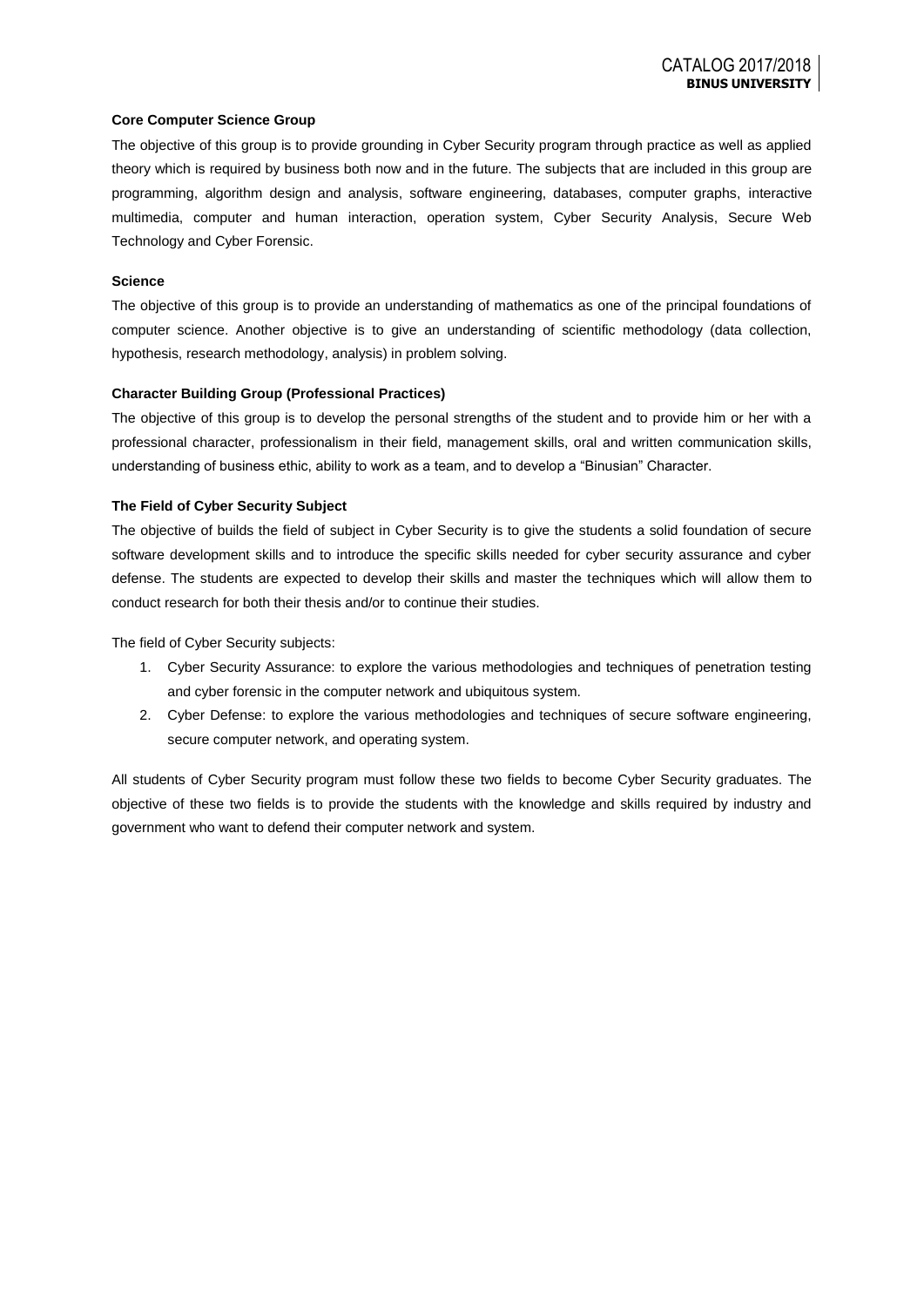### **Core Computer Science Group**

The objective of this group is to provide grounding in Cyber Security program through practice as well as applied theory which is required by business both now and in the future. The subjects that are included in this group are programming, algorithm design and analysis, software engineering, databases, computer graphs, interactive multimedia, computer and human interaction, operation system, Cyber Security Analysis, Secure Web Technology and Cyber Forensic.

### **Science**

The objective of this group is to provide an understanding of mathematics as one of the principal foundations of computer science. Another objective is to give an understanding of scientific methodology (data collection, hypothesis, research methodology, analysis) in problem solving.

#### **Character Building Group (Professional Practices)**

The objective of this group is to develop the personal strengths of the student and to provide him or her with a professional character, professionalism in their field, management skills, oral and written communication skills, understanding of business ethic, ability to work as a team, and to develop a "Binusian" Character.

### **The Field of Cyber Security Subject**

The objective of builds the field of subject in Cyber Security is to give the students a solid foundation of secure software development skills and to introduce the specific skills needed for cyber security assurance and cyber defense. The students are expected to develop their skills and master the techniques which will allow them to conduct research for both their thesis and/or to continue their studies.

The field of Cyber Security subjects:

- 1. Cyber Security Assurance: to explore the various methodologies and techniques of penetration testing and cyber forensic in the computer network and ubiquitous system.
- 2. Cyber Defense: to explore the various methodologies and techniques of secure software engineering, secure computer network, and operating system.

All students of Cyber Security program must follow these two fields to become Cyber Security graduates. The objective of these two fields is to provide the students with the knowledge and skills required by industry and government who want to defend their computer network and system.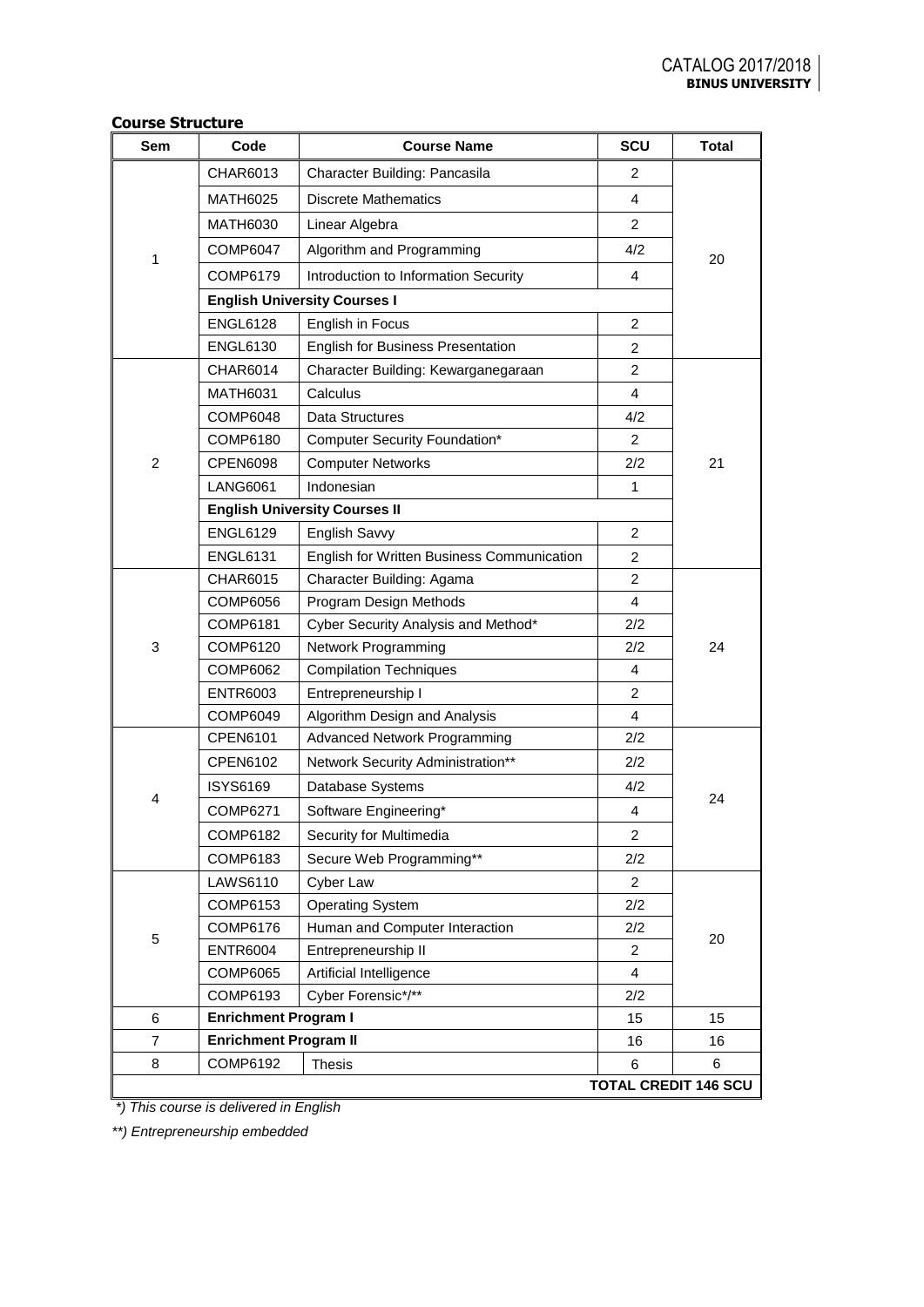| Sem            | Code                         | <b>Course Name</b>                         | SCU            | <b>Total</b>                |
|----------------|------------------------------|--------------------------------------------|----------------|-----------------------------|
|                | CHAR6013                     | Character Building: Pancasila              | 2              |                             |
| 1              | <b>MATH6025</b>              | <b>Discrete Mathematics</b>                | 4              |                             |
|                | <b>MATH6030</b>              | Linear Algebra                             | 2              |                             |
|                | <b>COMP6047</b>              | Algorithm and Programming                  | 4/2            | 20                          |
|                | COMP6179                     | Introduction to Information Security       | 4              |                             |
|                |                              | <b>English University Courses I</b>        |                |                             |
|                | <b>ENGL6128</b>              | English in Focus                           | 2              |                             |
|                | <b>ENGL6130</b>              | English for Business Presentation          | 2              |                             |
|                | <b>CHAR6014</b>              | Character Building: Kewarganegaraan        | 2              |                             |
|                | <b>MATH6031</b>              | Calculus                                   | 4              |                             |
|                | <b>COMP6048</b>              | Data Structures                            | 4/2            |                             |
|                | COMP6180                     | <b>Computer Security Foundation*</b>       | 2              |                             |
| 2              | <b>CPEN6098</b>              | <b>Computer Networks</b>                   | 2/2            | 21                          |
|                | <b>LANG6061</b>              | Indonesian                                 | 1              |                             |
|                |                              | <b>English University Courses II</b>       |                |                             |
|                | <b>ENGL6129</b>              | English Savvy                              | 2              |                             |
|                | <b>ENGL6131</b>              | English for Written Business Communication | 2              |                             |
|                | <b>CHAR6015</b>              | Character Building: Agama                  | $\overline{2}$ |                             |
|                | <b>COMP6056</b>              | Program Design Methods                     | 4              |                             |
|                | COMP6181                     | Cyber Security Analysis and Method*        | 2/2            |                             |
| 3              | COMP6120                     | Network Programming                        | 2/2            | 24                          |
|                | COMP6062                     | <b>Compilation Techniques</b>              | 4              |                             |
|                | <b>ENTR6003</b>              | Entrepreneurship I                         | 2              |                             |
|                | COMP6049                     | Algorithm Design and Analysis              | 4              |                             |
|                | CPEN6101                     | Advanced Network Programming               | 2/2            |                             |
|                | <b>CPEN6102</b>              | Network Security Administration**          | 2/2            |                             |
| 4              | <b>ISYS6169</b>              | Database Systems                           | 4/2            | 24                          |
|                | COMP6271                     | Software Engineering*                      | 4              |                             |
|                | COMP6182                     | Security for Multimedia                    | 2              |                             |
|                | COMP6183                     | Secure Web Programming**                   | 2/2            |                             |
|                | LAWS6110                     | Cyber Law                                  | $\overline{2}$ |                             |
| 5              | COMP6153                     | <b>Operating System</b>                    | 2/2            |                             |
|                | <b>COMP6176</b>              | Human and Computer Interaction             | 2/2            | 20                          |
|                | <b>ENTR6004</b>              | Entrepreneurship II                        | 2              |                             |
|                | COMP6065                     | Artificial Intelligence                    | 4              |                             |
|                | COMP6193                     | Cyber Forensic*/**                         | 2/2            |                             |
| 6              | <b>Enrichment Program I</b>  |                                            | 15             | 15                          |
| $\overline{7}$ | <b>Enrichment Program II</b> |                                            | 16             | 16                          |
| 8              | COMP6192                     | <b>Thesis</b>                              | 6              | 6                           |
|                |                              |                                            |                | <b>TOTAL CREDIT 146 SCU</b> |

# **Course Structure**

*\*) This course is delivered in English*

*\*\*) Entrepreneurship embedded*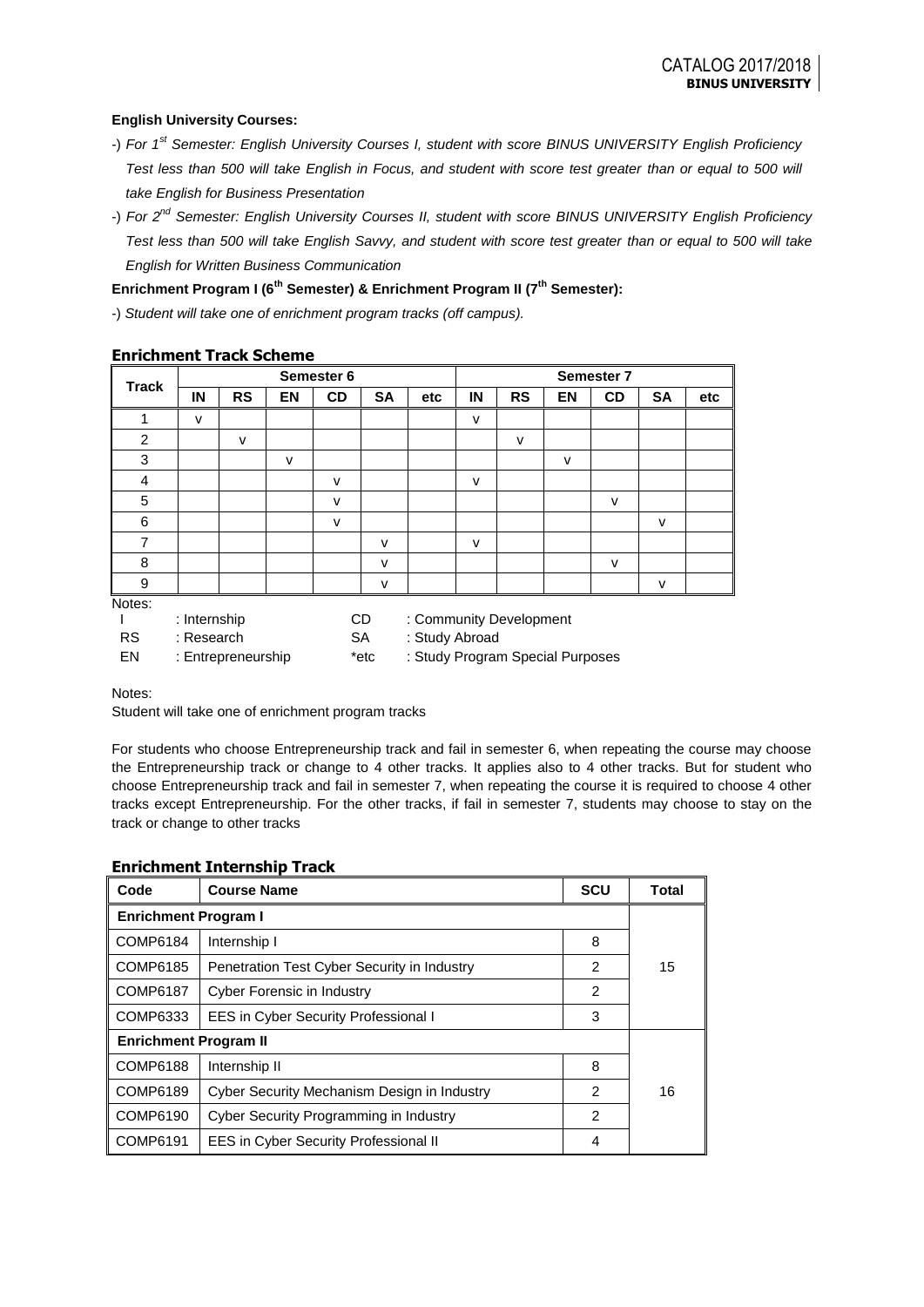## **English University Courses:**

- -) *For 1st Semester: English University Courses I, student with score BINUS UNIVERSITY English Proficiency Test less than 500 will take English in Focus, and student with score test greater than or equal to 500 will take English for Business Presentation*
- -) *For 2nd Semester: English University Courses II, student with score BINUS UNIVERSITY English Proficiency Test less than 500 will take English Savvy, and student with score test greater than or equal to 500 will take English for Written Business Communication*

## **Enrichment Program I (6th Semester) & Enrichment Program II (7th Semester):**

-) *Student will take one of enrichment program tracks (off campus).*

|                |                                                                | Semester 6   |              |                             |              | <b>Semester 7</b> |              |           |        |              |           |     |
|----------------|----------------------------------------------------------------|--------------|--------------|-----------------------------|--------------|-------------------|--------------|-----------|--------|--------------|-----------|-----|
| <b>Track</b>   | IN                                                             | <b>RS</b>    | EN           | <b>CD</b>                   | <b>SA</b>    | etc               | IN           | <b>RS</b> | EN     | <b>CD</b>    | <b>SA</b> | etc |
| 1              | $\mathsf{v}$                                                   |              |              |                             |              |                   | $\mathsf{v}$ |           |        |              |           |     |
| $\overline{2}$ |                                                                | $\mathsf{v}$ |              |                             |              |                   |              | $\vee$    |        |              |           |     |
| 3              |                                                                |              | $\mathsf{V}$ |                             |              |                   |              |           | $\vee$ |              |           |     |
| 4              |                                                                |              |              | $\mathsf{v}$                |              |                   | v            |           |        |              |           |     |
| 5              |                                                                |              |              | $\vee$                      |              |                   |              |           |        | v            |           |     |
| 6              |                                                                |              |              | $\mathsf{v}$                |              |                   |              |           |        |              | v         |     |
| $\overline{7}$ |                                                                |              |              |                             | $\mathsf{v}$ |                   | $\mathsf{v}$ |           |        |              |           |     |
| 8              |                                                                |              |              |                             | $\mathsf{v}$ |                   |              |           |        | $\mathsf{V}$ |           |     |
| 9              |                                                                |              |              |                             | $\mathsf{v}$ |                   |              |           |        |              | v         |     |
| Notes:         |                                                                |              |              |                             |              |                   |              |           |        |              |           |     |
|                | : Internship<br>CD.<br>: Community Development                 |              |              |                             |              |                   |              |           |        |              |           |     |
| <b>RS</b>      | : Research                                                     |              |              | : Study Abroad<br><b>SA</b> |              |                   |              |           |        |              |           |     |
| EN             | : Study Program Special Purposes<br>*etc<br>: Entrepreneurship |              |              |                             |              |                   |              |           |        |              |           |     |

# **Enrichment Track Scheme**

Notes:

Student will take one of enrichment program tracks

For students who choose Entrepreneurship track and fail in semester 6, when repeating the course may choose the Entrepreneurship track or change to 4 other tracks. It applies also to 4 other tracks. But for student who choose Entrepreneurship track and fail in semester 7, when repeating the course it is required to choose 4 other tracks except Entrepreneurship. For the other tracks, if fail in semester 7, students may choose to stay on the track or change to other tracks

| Code                         | <b>Course Name</b>                          | <b>SCU</b> | Total |  |  |
|------------------------------|---------------------------------------------|------------|-------|--|--|
| <b>Enrichment Program I</b>  |                                             |            |       |  |  |
| <b>COMP6184</b>              | Internship I                                | 8          |       |  |  |
| COMP6185                     | Penetration Test Cyber Security in Industry | 2          | 15    |  |  |
| COMP6187                     | Cyber Forensic in Industry                  | 2          |       |  |  |
| COMP6333                     | EES in Cyber Security Professional I        | 3          |       |  |  |
| <b>Enrichment Program II</b> |                                             |            |       |  |  |
| <b>COMP6188</b>              | Internship II                               | 8          |       |  |  |
| COMP6189                     | Cyber Security Mechanism Design in Industry | 2          | 16    |  |  |
| COMP6190                     | Cyber Security Programming in Industry      | 2          |       |  |  |
| COMP6191                     | EES in Cyber Security Professional II       | 4          |       |  |  |

## **Enrichment Internship Track**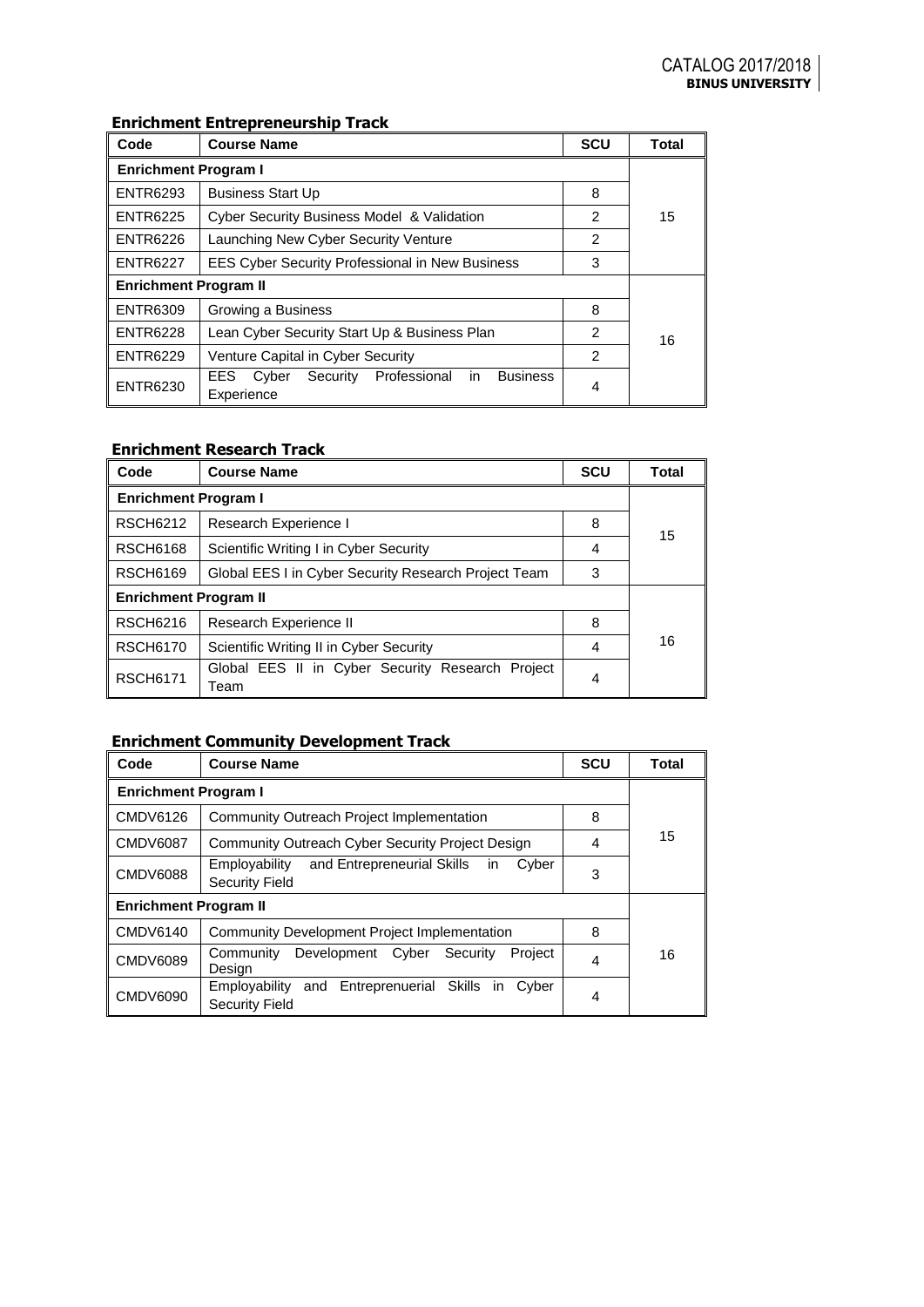## **Enrichment Entrepreneurship Track**

| Code                         | <b>Course Name</b>                                     | <b>SCU</b> | <b>Total</b> |  |  |  |
|------------------------------|--------------------------------------------------------|------------|--------------|--|--|--|
| <b>Enrichment Program I</b>  |                                                        |            |              |  |  |  |
| <b>ENTR6293</b>              | <b>Business Start Up</b>                               | 8          |              |  |  |  |
| <b>ENTR6225</b>              | <b>Cyber Security Business Model &amp; Validation</b>  | 2          | 15           |  |  |  |
| <b>ENTR6226</b>              | Launching New Cyber Security Venture                   | 2          |              |  |  |  |
| <b>ENTR6227</b>              | <b>EES Cyber Security Professional in New Business</b> | 3          |              |  |  |  |
| <b>Enrichment Program II</b> |                                                        |            |              |  |  |  |
| <b>ENTR6309</b>              | Growing a Business                                     | 8          |              |  |  |  |
| <b>ENTR6228</b>              | Lean Cyber Security Start Up & Business Plan           | 2          | 16           |  |  |  |
| <b>ENTR6229</b>              | Venture Capital in Cyber Security                      | 2          |              |  |  |  |
| <b>ENTR6230</b>              | 4                                                      |            |              |  |  |  |

## **Enrichment Research Track**

| Code                         | <b>Course Name</b>                                       | <b>SCU</b> | Total |  |  |
|------------------------------|----------------------------------------------------------|------------|-------|--|--|
| <b>Enrichment Program I</b>  |                                                          |            |       |  |  |
| <b>RSCH6212</b>              | Research Experience I                                    | 8          | 15    |  |  |
| <b>RSCH6168</b>              | Scientific Writing I in Cyber Security                   | 4          |       |  |  |
| <b>RSCH6169</b>              | Global EES I in Cyber Security Research Project Team     | 3          |       |  |  |
| <b>Enrichment Program II</b> |                                                          |            |       |  |  |
| <b>RSCH6216</b>              | Research Experience II                                   |            |       |  |  |
| <b>RSCH6170</b>              | Scientific Writing II in Cyber Security                  |            | 16    |  |  |
| <b>RSCH6171</b>              | Global EES II in Cyber Security Research Project<br>Team | 4          |       |  |  |

# **Enrichment Community Development Track**

| Code                                                                        | <b>Course Name</b>                                                                               | <b>SCU</b> | <b>Total</b> |  |  |
|-----------------------------------------------------------------------------|--------------------------------------------------------------------------------------------------|------------|--------------|--|--|
| <b>Enrichment Program I</b>                                                 |                                                                                                  |            |              |  |  |
| CMDV6126                                                                    | Community Outreach Project Implementation                                                        | 8          |              |  |  |
| CMDV6087                                                                    | Community Outreach Cyber Security Project Design                                                 | 4          | 15           |  |  |
| <b>CMDV6088</b>                                                             | and Entrepreneurial Skills<br>Employability<br>Cyber<br><i>in</i><br><b>Security Field</b>       | 3          |              |  |  |
| <b>Enrichment Program II</b>                                                |                                                                                                  |            |              |  |  |
| CMDV6140                                                                    | <b>Community Development Project Implementation</b>                                              | 8          |              |  |  |
| Development Cyber<br>Security<br>Community<br>Project<br>CMDV6089<br>Design |                                                                                                  |            | 16           |  |  |
| <b>CMDV6090</b>                                                             | Skills<br>Employability<br>Entreprenuerial<br>and<br>Cyber<br><i>in</i><br><b>Security Field</b> | 4          |              |  |  |